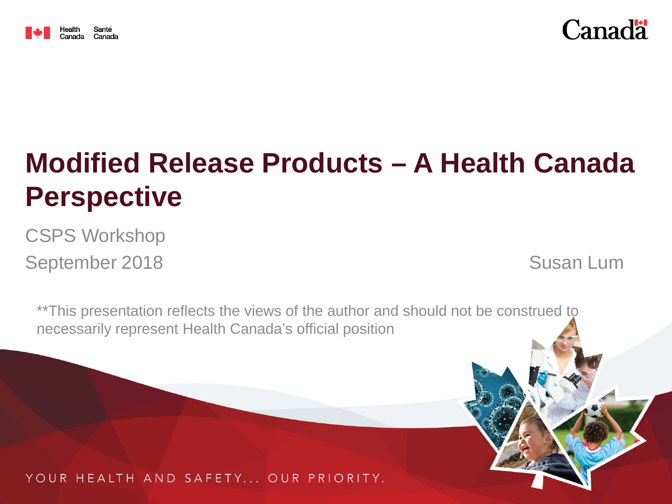



# **Modified Release Products – A Health Canada Perspective**

CSPS Workshop September 2018 and the Susan Lum

\*\*This presentation reflects the views of the author and should not be construed to necessarily represent Health Canada's official position

YOUR HEALTH AND SAFETY... OUR PRIORITY.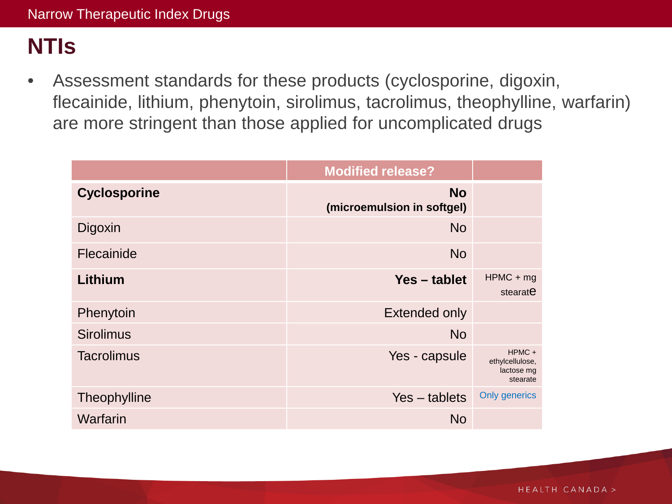# **NTIs**

• Assessment standards for these products (cyclosporine, digoxin, flecainide, lithium, phenytoin, sirolimus, tacrolimus, theophylline, warfarin) are more stringent than those applied for uncomplicated drugs

|                     | <b>Modified release?</b>                |                                                       |
|---------------------|-----------------------------------------|-------------------------------------------------------|
| <b>Cyclosporine</b> | <b>No</b><br>(microemulsion in softgel) |                                                       |
| Digoxin             | <b>No</b>                               |                                                       |
| Flecainide          | <b>No</b>                               |                                                       |
| Lithium             | Yes – tablet                            | $HPMC + mg$<br>stearate                               |
| Phenytoin           | <b>Extended only</b>                    |                                                       |
| <b>Sirolimus</b>    | <b>No</b>                               |                                                       |
| <b>Tacrolimus</b>   | Yes - capsule                           | $HPMC +$<br>ethylcellulose,<br>lactose mg<br>stearate |
| Theophylline        | $Yes - tablets$                         | <b>Only generics</b>                                  |
| Warfarin            | <b>No</b>                               |                                                       |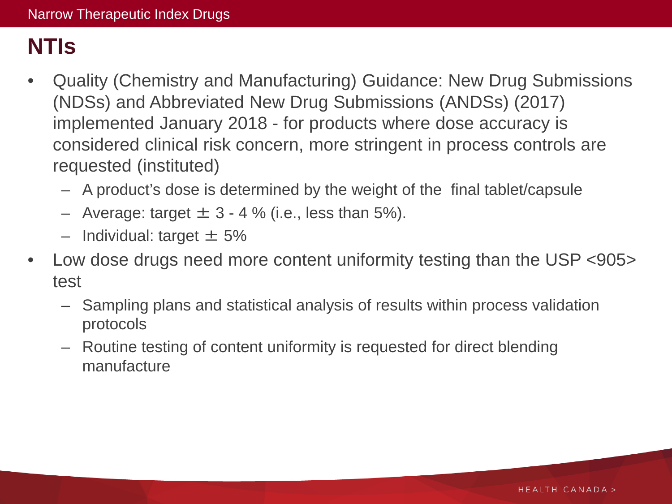# **NTIs**

- Quality (Chemistry and Manufacturing) Guidance: New Drug Submissions (NDSs) and Abbreviated New Drug Submissions (ANDSs) (2017) implemented January 2018 - for products where dose accuracy is considered clinical risk concern, more stringent in process controls are requested (instituted)
	- A product's dose is determined by the weight of the final tablet/capsule
	- Average: target  $\pm$  3 4 % (i.e., less than 5%).
	- $-$  Individual: target  $\pm$  5%
- Low dose drugs need more content uniformity testing than the USP <905> test
	- Sampling plans and statistical analysis of results within process validation protocols
	- Routine testing of content uniformity is requested for direct blending manufacture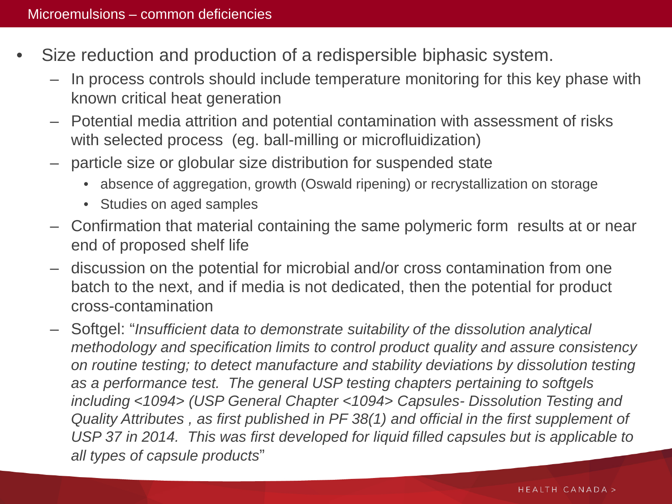- Size reduction and production of a redispersible biphasic system.
	- In process controls should include temperature monitoring for this key phase with known critical heat generation
	- Potential media attrition and potential contamination with assessment of risks with selected process (eg. ball-milling or microfluidization)
	- particle size or globular size distribution for suspended state
		- absence of aggregation, growth (Oswald ripening) or recrystallization on storage
		- Studies on aged samples
	- Confirmation that material containing the same polymeric form results at or near end of proposed shelf life
	- discussion on the potential for microbial and/or cross contamination from one batch to the next, and if media is not dedicated, then the potential for product cross-contamination
	- Softgel: "*Insufficient data to demonstrate suitability of the dissolution analytical methodology and specification limits to control product quality and assure consistency on routine testing; to detect manufacture and stability deviations by dissolution testing as a performance test. The general USP testing chapters pertaining to softgels including <1094> (USP General Chapter <1094> Capsules- Dissolution Testing and Quality Attributes , as first published in PF 38(1) and official in the first supplement of USP 37 in 2014. This was first developed for liquid filled capsules but is applicable to all types of capsule products*"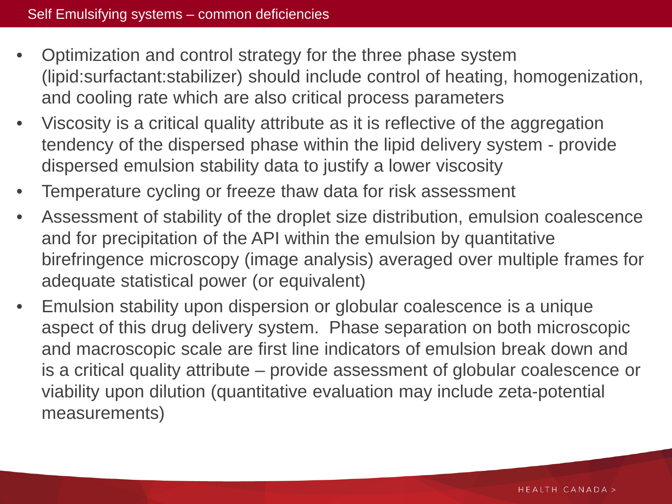- Optimization and control strategy for the three phase system (lipid:surfactant:stabilizer) should include control of heating, homogenization, and cooling rate which are also critical process parameters
- Viscosity is a critical quality attribute as it is reflective of the aggregation tendency of the dispersed phase within the lipid delivery system - provide dispersed emulsion stability data to justify a lower viscosity
- Temperature cycling or freeze thaw data for risk assessment
- Assessment of stability of the droplet size distribution, emulsion coalescence and for precipitation of the API within the emulsion by quantitative birefringence microscopy (image analysis) averaged over multiple frames for adequate statistical power (or equivalent)
- Emulsion stability upon dispersion or globular coalescence is a unique aspect of this drug delivery system. Phase separation on both microscopic and macroscopic scale are first line indicators of emulsion break down and is a critical quality attribute – provide assessment of globular coalescence or viability upon dilution (quantitative evaluation may include zeta-potential measurements)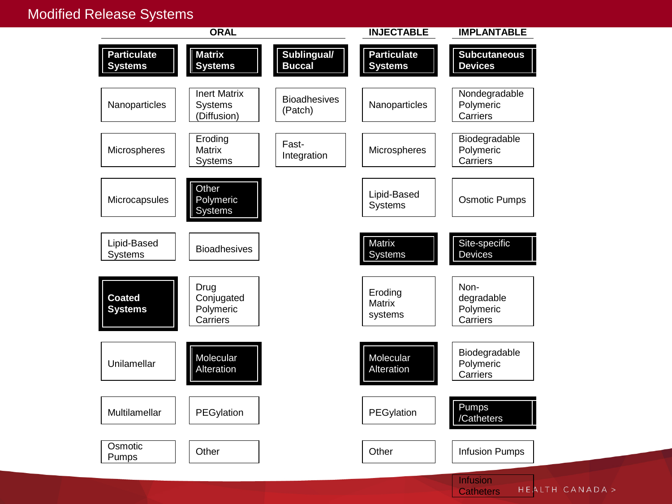#### Modified Release Systems



**Catheters**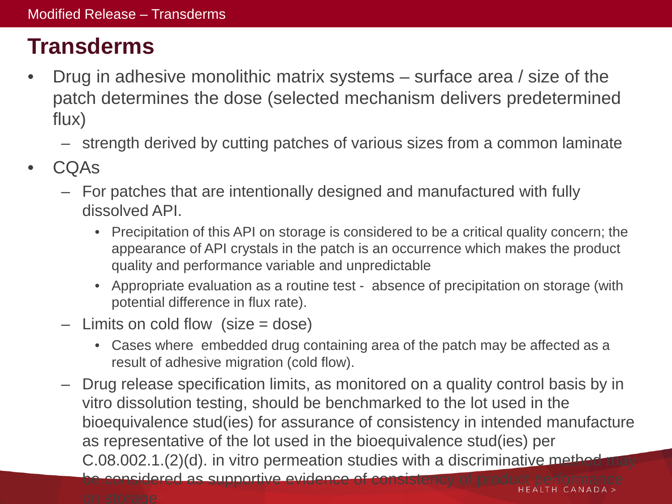# **Transderms**

- Drug in adhesive monolithic matrix systems surface area / size of the patch determines the dose (selected mechanism delivers predetermined flux)
	- strength derived by cutting patches of various sizes from a common laminate
- CQAs
	- For patches that are intentionally designed and manufactured with fully dissolved API.
		- Precipitation of this API on storage is considered to be a critical quality concern; the appearance of API crystals in the patch is an occurrence which makes the product quality and performance variable and unpredictable
		- Appropriate evaluation as a routine test absence of precipitation on storage (with potential difference in flux rate).
	- $-$  Limits on cold flow (size  $=$  dose)
		- Cases where embedded drug containing area of the patch may be affected as a result of adhesive migration (cold flow).
	- Drug release specification limits, as monitored on a quality control basis by in vitro dissolution testing, should be benchmarked to the lot used in the bioequivalence stud(ies) for assurance of consistency in intended manufacture as representative of the lot used in the bioequivalence stud(ies) per  $C.08.002.1.(2)(d)$ . in vitro permeation studies with a discriminative method may

be considered as supportive evidence of consister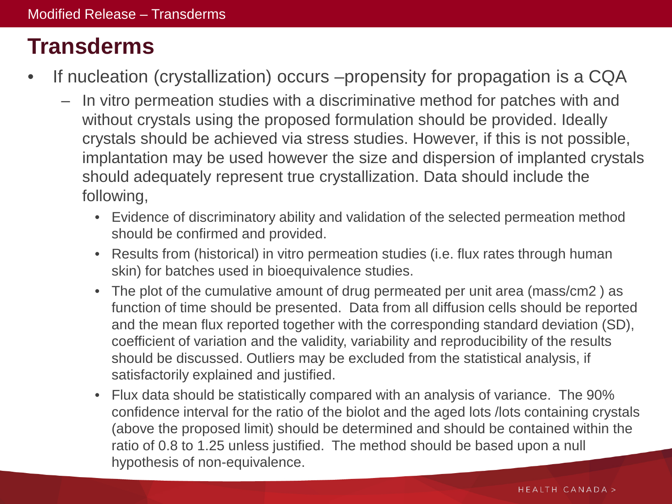# **Transderms**

- If nucleation (crystallization) occurs –propensity for propagation is a CQA
	- In vitro permeation studies with a discriminative method for patches with and without crystals using the proposed formulation should be provided. Ideally crystals should be achieved via stress studies. However, if this is not possible, implantation may be used however the size and dispersion of implanted crystals should adequately represent true crystallization. Data should include the following,
		- Evidence of discriminatory ability and validation of the selected permeation method should be confirmed and provided.
		- Results from (historical) in vitro permeation studies (i.e. flux rates through human skin) for batches used in bioequivalence studies.
		- The plot of the cumulative amount of drug permeated per unit area (mass/cm2 ) as function of time should be presented. Data from all diffusion cells should be reported and the mean flux reported together with the corresponding standard deviation (SD), coefficient of variation and the validity, variability and reproducibility of the results should be discussed. Outliers may be excluded from the statistical analysis, if satisfactorily explained and justified.
		- Flux data should be statistically compared with an analysis of variance. The 90% confidence interval for the ratio of the biolot and the aged lots /lots containing crystals (above the proposed limit) should be determined and should be contained within the ratio of 0.8 to 1.25 unless justified. The method should be based upon a null hypothesis of non-equivalence.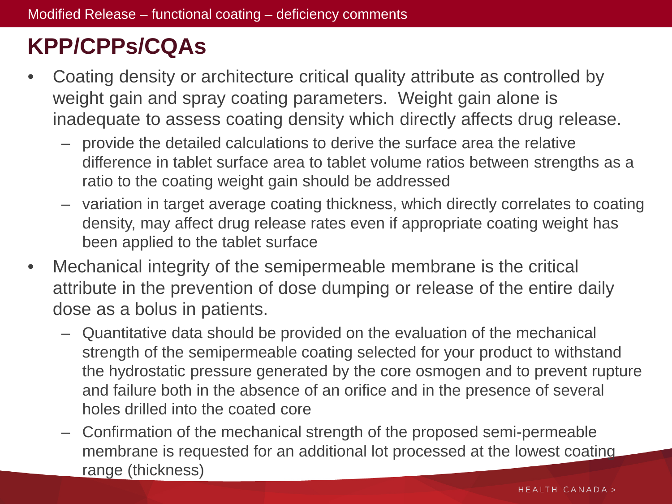# **KPP/CPPs/CQAs**

- Coating density or architecture critical quality attribute as controlled by weight gain and spray coating parameters. Weight gain alone is inadequate to assess coating density which directly affects drug release.
	- provide the detailed calculations to derive the surface area the relative difference in tablet surface area to tablet volume ratios between strengths as a ratio to the coating weight gain should be addressed
	- variation in target average coating thickness, which directly correlates to coating density, may affect drug release rates even if appropriate coating weight has been applied to the tablet surface
- Mechanical integrity of the semipermeable membrane is the critical attribute in the prevention of dose dumping or release of the entire daily dose as a bolus in patients.
	- Quantitative data should be provided on the evaluation of the mechanical strength of the semipermeable coating selected for your product to withstand the hydrostatic pressure generated by the core osmogen and to prevent rupture and failure both in the absence of an orifice and in the presence of several holes drilled into the coated core
	- Confirmation of the mechanical strength of the proposed semi-permeable membrane is requested for an additional lot processed at the lowest coating range (thickness)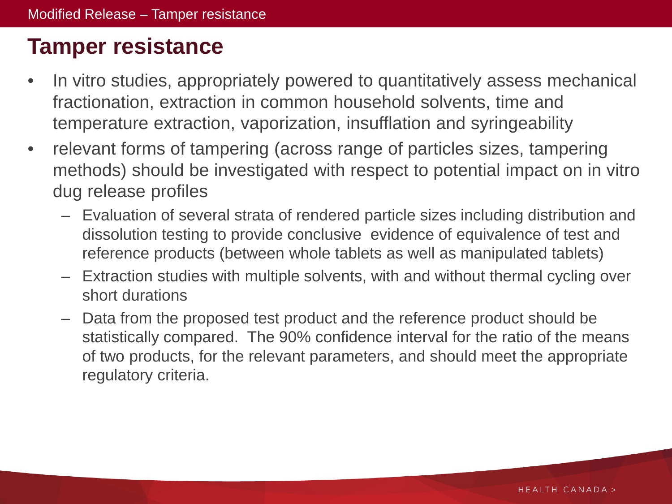# **Tamper resistance**

- In vitro studies, appropriately powered to quantitatively assess mechanical fractionation, extraction in common household solvents, time and temperature extraction, vaporization, insufflation and syringeability
- relevant forms of tampering (across range of particles sizes, tampering methods) should be investigated with respect to potential impact on in vitro dug release profiles
	- Evaluation of several strata of rendered particle sizes including distribution and dissolution testing to provide conclusive evidence of equivalence of test and reference products (between whole tablets as well as manipulated tablets)
	- Extraction studies with multiple solvents, with and without thermal cycling over short durations
	- Data from the proposed test product and the reference product should be statistically compared. The 90% confidence interval for the ratio of the means of two products, for the relevant parameters, and should meet the appropriate regulatory criteria.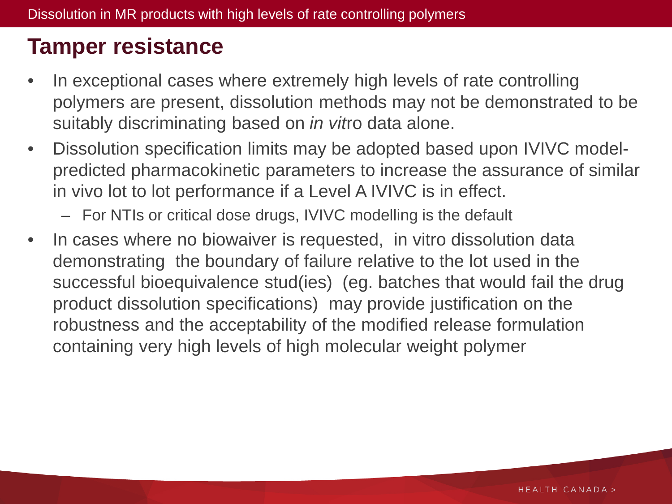### **Tamper resistance**

- In exceptional cases where extremely high levels of rate controlling polymers are present, dissolution methods may not be demonstrated to be suitably discriminating based on *in vit*ro data alone.
- Dissolution specification limits may be adopted based upon IVIVC modelpredicted pharmacokinetic parameters to increase the assurance of similar in vivo lot to lot performance if a Level A IVIVC is in effect.
	- For NTIs or critical dose drugs, IVIVC modelling is the default
- In cases where no biowaiver is requested, in vitro dissolution data demonstrating the boundary of failure relative to the lot used in the successful bioequivalence stud(ies) (eg. batches that would fail the drug product dissolution specifications) may provide justification on the robustness and the acceptability of the modified release formulation containing very high levels of high molecular weight polymer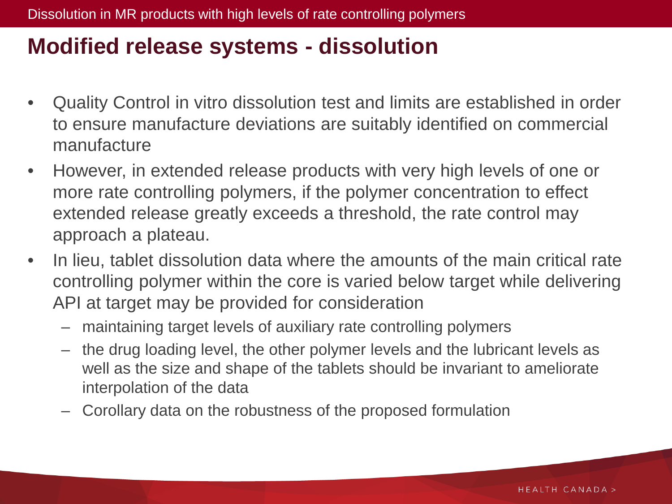#### **Modified release systems - dissolution**

- Quality Control in vitro dissolution test and limits are established in order to ensure manufacture deviations are suitably identified on commercial manufacture
- However, in extended release products with very high levels of one or more rate controlling polymers, if the polymer concentration to effect extended release greatly exceeds a threshold, the rate control may approach a plateau.
- In lieu, tablet dissolution data where the amounts of the main critical rate controlling polymer within the core is varied below target while delivering API at target may be provided for consideration
	- maintaining target levels of auxiliary rate controlling polymers
	- the drug loading level, the other polymer levels and the lubricant levels as well as the size and shape of the tablets should be invariant to ameliorate interpolation of the data
	- Corollary data on the robustness of the proposed formulation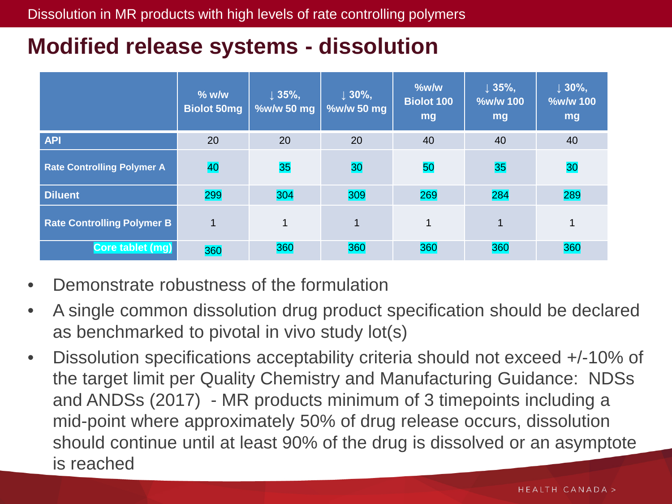## **Modified release systems - dissolution**

|                                   | $%$ w/w<br><b>Biolot 50mg</b> | $\downarrow$ 35%,<br>%w/w 50 mg | $\downarrow$ 30%,<br>%w/w 50 mg | %w/w<br><b>Biolot 100</b><br>mg | $\downarrow$ 35%,<br><b>%w/w 100</b><br>mg | $\downarrow$ 30%,<br>%w/w 100<br>mg |
|-----------------------------------|-------------------------------|---------------------------------|---------------------------------|---------------------------------|--------------------------------------------|-------------------------------------|
| <b>API</b>                        | 20                            | 20                              | 20                              | 40                              | 40                                         | 40                                  |
| <b>Rate Controlling Polymer A</b> | 40                            | 35                              | 30                              | 50                              | 35                                         | 30                                  |
| <b>Diluent</b>                    | 299                           | 304                             | 309                             | 269                             | 284                                        | 289                                 |
| <b>Rate Controlling Polymer B</b> | $\mathbf 1$                   | $\mathbf{1}$                    | $\mathbf 1$                     | 1                               | $\mathbf{1}$                               | 1                                   |
| Core tablet (mg)                  | 360                           | 360                             | 360                             | 360                             | 360                                        | 360                                 |

- Demonstrate robustness of the formulation
- A single common dissolution drug product specification should be declared as benchmarked to pivotal in vivo study lot(s)
- Dissolution specifications acceptability criteria should not exceed +/-10% of the target limit per Quality Chemistry and Manufacturing Guidance: NDSs and ANDSs (2017) - MR products minimum of 3 timepoints including a mid-point where approximately 50% of drug release occurs, dissolution should continue until at least 90% of the drug is dissolved or an asymptote is reached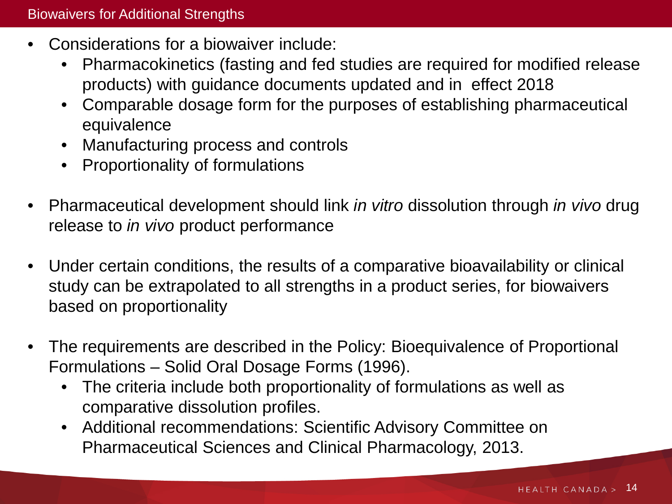- Considerations for a biowaiver include:
	- Pharmacokinetics (fasting and fed studies are required for modified release products) with guidance documents updated and in effect 2018
	- Comparable dosage form for the purposes of establishing pharmaceutical equivalence
	- Manufacturing process and controls
	- Proportionality of formulations
- Pharmaceutical development should link *in vitro* dissolution through *in vivo* drug release to *in vivo* product performance
- Under certain conditions, the results of a comparative bioavailability or clinical study can be extrapolated to all strengths in a product series, for biowaivers based on proportionality
- The requirements are described in the Policy: Bioequivalence of Proportional Formulations – Solid Oral Dosage Forms (1996).
	- The criteria include both proportionality of formulations as well as comparative dissolution profiles.
	- Additional recommendations: Scientific Advisory Committee on Pharmaceutical Sciences and Clinical Pharmacology, 2013.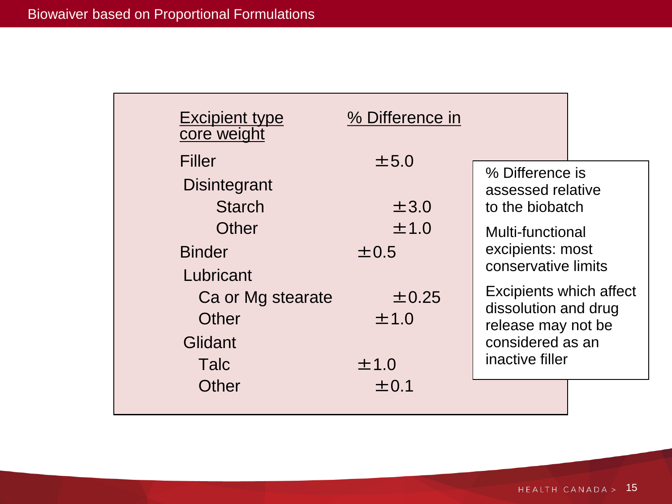| <b>Excipient type</b><br>core weight               | % Difference in    |                                                                                           |  |
|----------------------------------------------------|--------------------|-------------------------------------------------------------------------------------------|--|
| Filler<br><b>Disintegrant</b><br><b>Starch</b>     | $\pm 5.0$<br>±3.0  | % Difference is<br>assessed relative<br>to the biobatch                                   |  |
| Other<br><b>Binder</b>                             | ±1.0<br>$\pm 0.5$  | Multi-functional<br>excipients: most<br>conservative limits                               |  |
| Lubricant<br>Ca or Mg stearate<br>Other<br>Glidant | $\pm$ 0.25<br>±1.0 | Excipients which affect<br>dissolution and drug<br>release may not be<br>considered as an |  |
| Talc<br>Other                                      | ±1.0<br>$\pm 0.1$  | inactive filler                                                                           |  |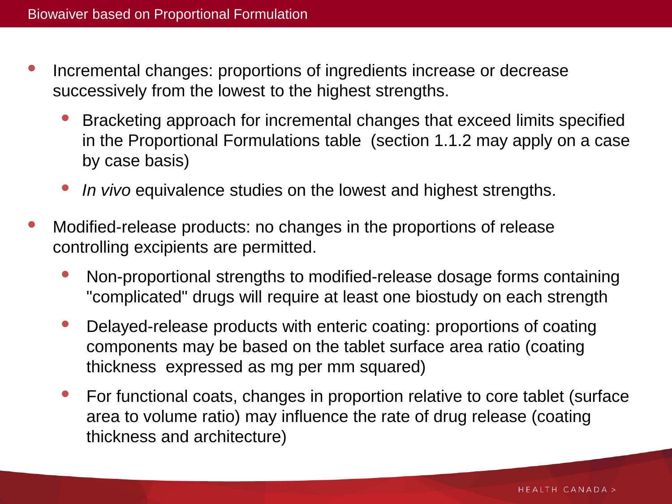- Incremental changes: proportions of ingredients increase or decrease successively from the lowest to the highest strengths.
	- Bracketing approach for incremental changes that exceed limits specified in the Proportional Formulations table (section 1.1.2 may apply on a case by case basis)
	- *In vivo* equivalence studies on the lowest and highest strengths.
- Modified-release products: no changes in the proportions of release controlling excipients are permitted.
	- Non-proportional strengths to modified-release dosage forms containing "complicated" drugs will require at least one biostudy on each strength
	- Delayed-release products with enteric coating: proportions of coating components may be based on the tablet surface area ratio (coating thickness expressed as mg per mm squared)
	- For functional coats, changes in proportion relative to core tablet (surface area to volume ratio) may influence the rate of drug release (coating thickness and architecture)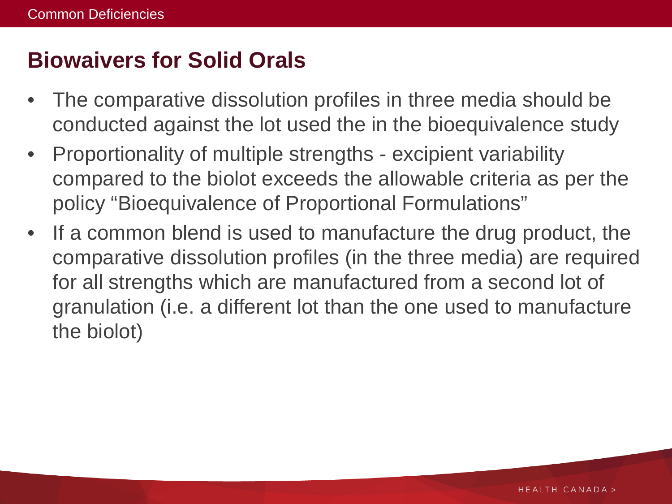# **Biowaivers for Solid Orals**

- The comparative dissolution profiles in three media should be conducted against the lot used the in the bioequivalence study
- Proportionality of multiple strengths excipient variability compared to the biolot exceeds the allowable criteria as per the policy "Bioequivalence of Proportional Formulations"
- If a common blend is used to manufacture the drug product, the comparative dissolution profiles (in the three media) are required for all strengths which are manufactured from a second lot of granulation (i.e. a different lot than the one used to manufacture the biolot)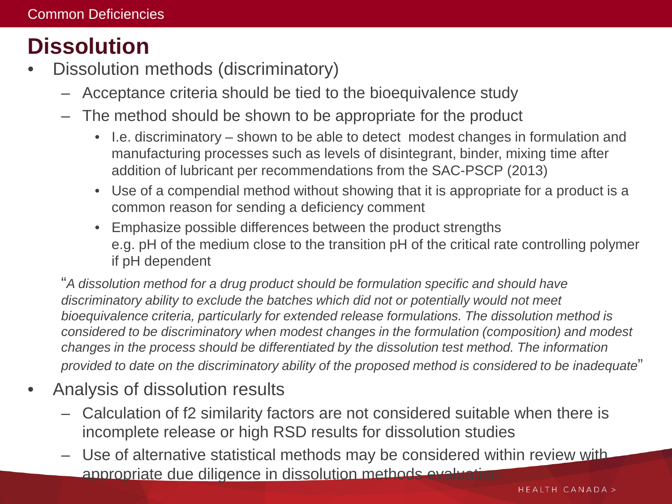# **Dissolution**

- Dissolution methods (discriminatory)
	- Acceptance criteria should be tied to the bioequivalence study
	- The method should be shown to be appropriate for the product
		- I.e. discriminatory shown to be able to detect modest changes in formulation and manufacturing processes such as levels of disintegrant, binder, mixing time after addition of lubricant per recommendations from the SAC-PSCP (2013)
		- Use of a compendial method without showing that it is appropriate for a product is a common reason for sending a deficiency comment
		- Emphasize possible differences between the product strengths e.g. pH of the medium close to the transition pH of the critical rate controlling polymer if pH dependent

"*A dissolution method for a drug product should be formulation specific and should have discriminatory ability to exclude the batches which did not or potentially would not meet bioequivalence criteria, particularly for extended release formulations. The dissolution method is considered to be discriminatory when modest changes in the formulation (composition) and modest changes in the process should be differentiated by the dissolution test method. The information provided to date on the discriminatory ability of the proposed method is considered to be inadequate*"

- Analysis of dissolution results
	- Calculation of f2 similarity factors are not considered suitable when there is incomplete release or high RSD results for dissolution studies
	- Use of alternative statistical methods may be considered within review with appropriate due diligence in dissolution methods evaluation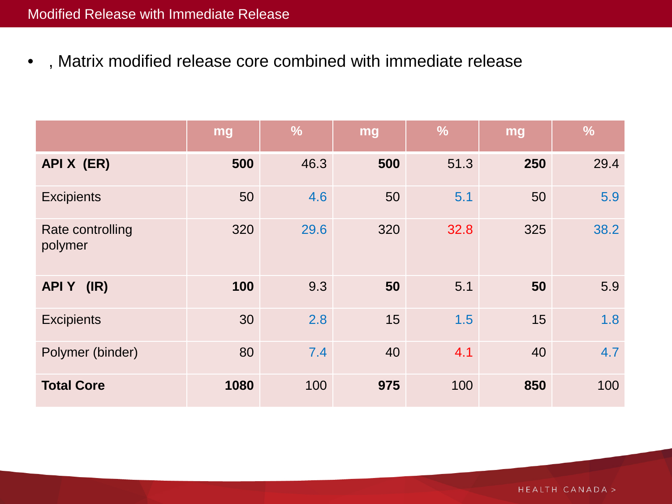• , Matrix modified release core combined with immediate release

|                             | mg   | $\frac{9}{6}$ | mg  | $\frac{1}{2}$ | mg  | $\frac{0}{0}$ |
|-----------------------------|------|---------------|-----|---------------|-----|---------------|
| API X (ER)                  | 500  | 46.3          | 500 | 51.3          | 250 | 29.4          |
| <b>Excipients</b>           | 50   | 4.6           | 50  | 5.1           | 50  | 5.9           |
| Rate controlling<br>polymer | 320  | 29.6          | 320 | 32.8          | 325 | 38.2          |
| APIY (IR)                   | 100  | 9.3           | 50  | 5.1           | 50  | 5.9           |
| <b>Excipients</b>           | 30   | 2.8           | 15  | 1.5           | 15  | 1.8           |
| Polymer (binder)            | 80   | 7.4           | 40  | 4.1           | 40  | 4.7           |
| <b>Total Core</b>           | 1080 | 100           | 975 | 100           | 850 | 100           |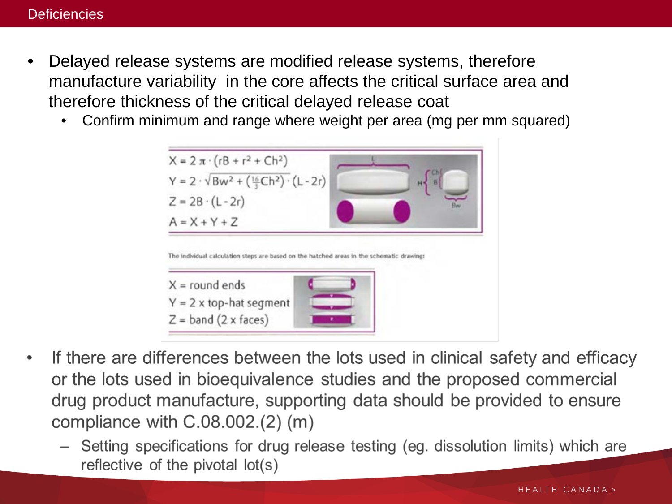- Delayed release systems are modified release systems, therefore manufacture variability in the core affects the critical surface area and therefore thickness of the critical delayed release coat
	- Confirm minimum and range where weight per area (mg per mm squared)



- If there are differences between the lots used in clinical safety and efficacy or the lots used in bioequivalence studies and the proposed commercial drug product manufacture, supporting data should be provided to ensure compliance with  $C.08.002.(2)$  (m)
	- Setting specifications for drug release testing (eg. dissolution limits) which are reflective of the pivotal lot(s)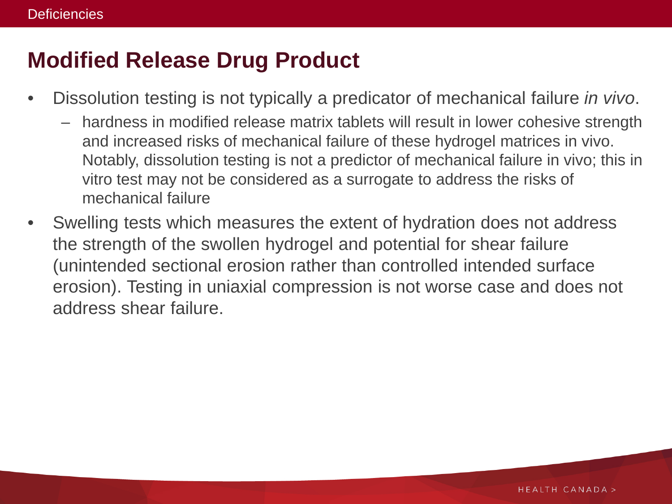# **Modified Release Drug Product**

- Dissolution testing is not typically a predicator of mechanical failure *in vivo*.
	- hardness in modified release matrix tablets will result in lower cohesive strength and increased risks of mechanical failure of these hydrogel matrices in vivo. Notably, dissolution testing is not a predictor of mechanical failure in vivo; this in vitro test may not be considered as a surrogate to address the risks of mechanical failure
- Swelling tests which measures the extent of hydration does not address the strength of the swollen hydrogel and potential for shear failure (unintended sectional erosion rather than controlled intended surface erosion). Testing in uniaxial compression is not worse case and does not address shear failure.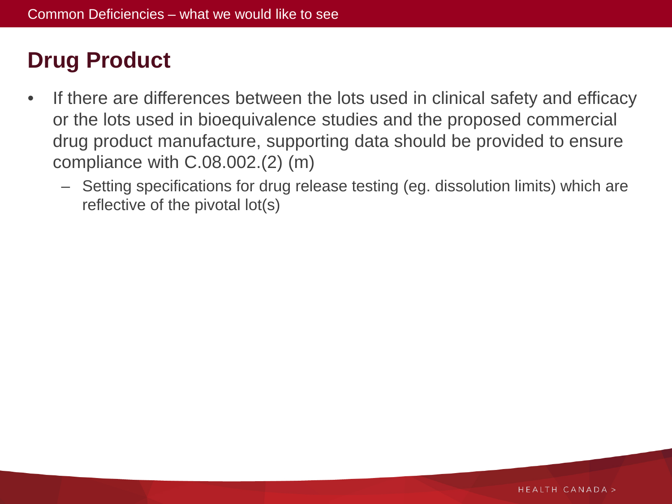# **Drug Product**

- If there are differences between the lots used in clinical safety and efficacy or the lots used in bioequivalence studies and the proposed commercial drug product manufacture, supporting data should be provided to ensure compliance with C.08.002.(2) (m)
	- Setting specifications for drug release testing (eg. dissolution limits) which are reflective of the pivotal lot(s)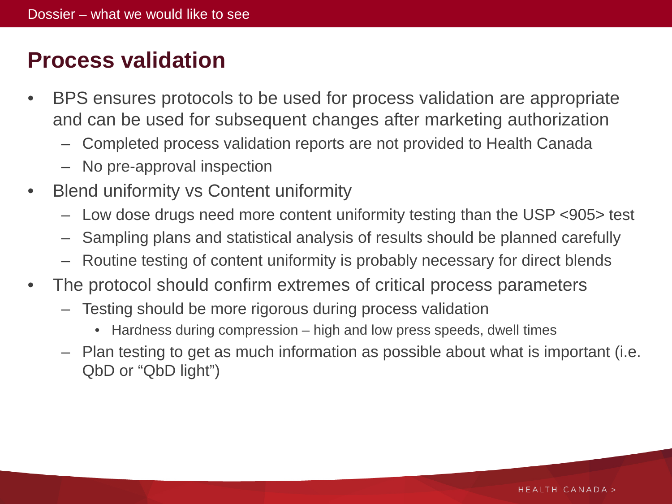# **Process validation**

- BPS ensures protocols to be used for process validation are appropriate and can be used for subsequent changes after marketing authorization
	- Completed process validation reports are not provided to Health Canada
	- No pre-approval inspection
- Blend uniformity vs Content uniformity
	- Low dose drugs need more content uniformity testing than the USP <905> test
	- Sampling plans and statistical analysis of results should be planned carefully
	- Routine testing of content uniformity is probably necessary for direct blends
- The protocol should confirm extremes of critical process parameters
	- Testing should be more rigorous during process validation
		- Hardness during compression high and low press speeds, dwell times
	- Plan testing to get as much information as possible about what is important (i.e. QbD or "QbD light")